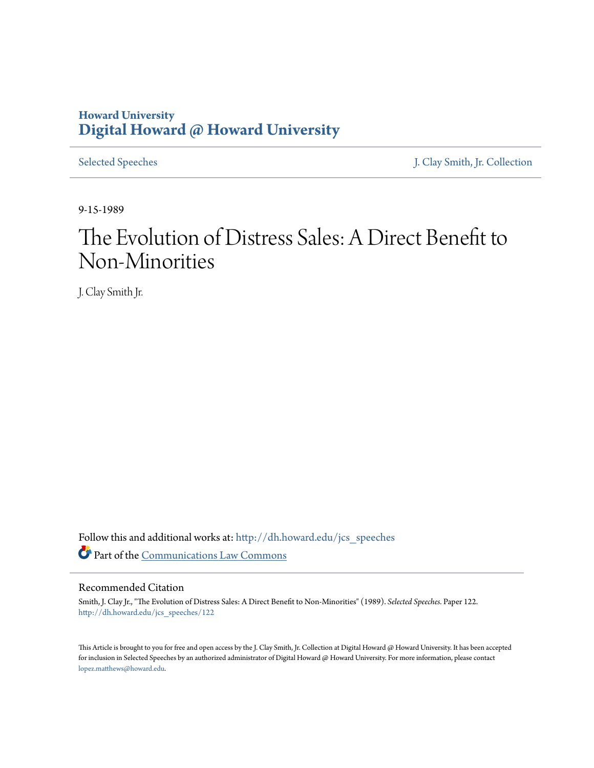# **Howard University [Digital Howard @ Howard University](http://dh.howard.edu?utm_source=dh.howard.edu%2Fjcs_speeches%2F122&utm_medium=PDF&utm_campaign=PDFCoverPages)**

[Selected Speeches](http://dh.howard.edu/jcs_speeches?utm_source=dh.howard.edu%2Fjcs_speeches%2F122&utm_medium=PDF&utm_campaign=PDFCoverPages) [J. Clay Smith, Jr. Collection](http://dh.howard.edu/jcsmith?utm_source=dh.howard.edu%2Fjcs_speeches%2F122&utm_medium=PDF&utm_campaign=PDFCoverPages)

9-15-1989

# The Evolution of Distress Sales: A Direct Benefit to Non-Minorities

J. Clay Smith Jr.

Follow this and additional works at: [http://dh.howard.edu/jcs\\_speeches](http://dh.howard.edu/jcs_speeches?utm_source=dh.howard.edu%2Fjcs_speeches%2F122&utm_medium=PDF&utm_campaign=PDFCoverPages) Part of the [Communications Law Commons](http://network.bepress.com/hgg/discipline/587?utm_source=dh.howard.edu%2Fjcs_speeches%2F122&utm_medium=PDF&utm_campaign=PDFCoverPages)

#### Recommended Citation

Smith, J. Clay Jr., "The Evolution of Distress Sales: A Direct Benefit to Non-Minorities" (1989). *Selected Speeches.* Paper 122. [http://dh.howard.edu/jcs\\_speeches/122](http://dh.howard.edu/jcs_speeches/122?utm_source=dh.howard.edu%2Fjcs_speeches%2F122&utm_medium=PDF&utm_campaign=PDFCoverPages)

This Article is brought to you for free and open access by the J. Clay Smith, Jr. Collection at Digital Howard @ Howard University. It has been accepted for inclusion in Selected Speeches by an authorized administrator of Digital Howard @ Howard University. For more information, please contact [lopez.matthews@howard.edu.](mailto:lopez.matthews@howard.edu)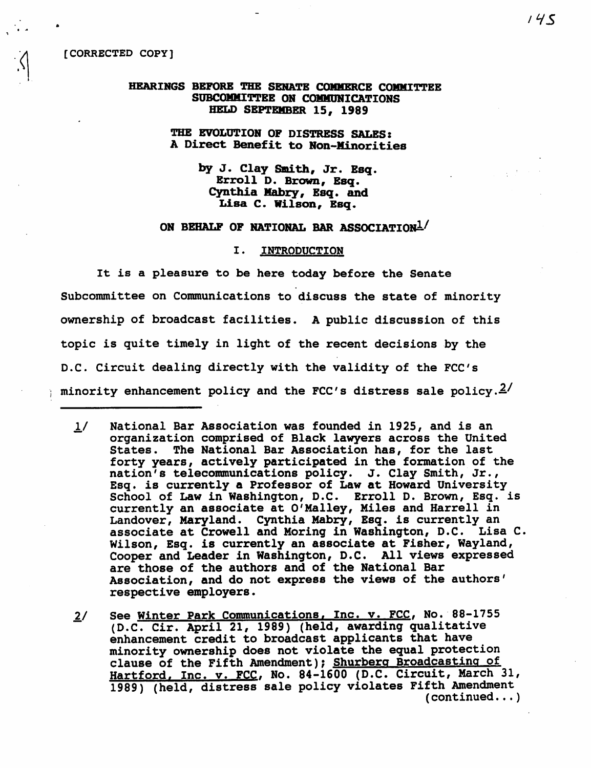[CORRECTED COPY]

•

### HEARINGS BEFORE THE SENATE COMMERCE COMMITTEE SUBCOMMITTEE ON COMMUNICATIONS HELD SBPTEMBER 15, 1989

## THE EVOLUTION OP DISTRESS SALES: A Direct Benefit to Non-Minorities

by J. Clay Smith, Jr. Bsq. Erroll D. Brown, Bsq. Cynthia Mabry, Esq. and Lisa C. Wilson, Esq.

#### ON BEHALF OF NATIONAL BAR ASSOCIATION<sup>1</sup>/

#### I. INTRODUCTION

It is a pleasure to be here today before the Senate Subcommittee on Communications to discuss the state of minority ownership of broadcast facilities. A public discussion of this topic is quite timely in light of the recent decisions by the D.C. Circuit dealing directly with the validity of the FCC's minority enhancement policy and the FCC's distress sale policy. $2/1$ 

- 1/ National Bar Association was founded in 1925, and is an organization comprised of Black lawyers across the United States. The National Bar Association has, for the last forty years, actively participated in the formation of the nation's telecommunications policy. J. Clay Smith, Jr., Esq. is currently a Professor of Law at Howard University School of Law in Washington, D.C. Erroll D. Brown, Esq. is currently an associate at O'Malley, Miles and Harrell in Landover, Maryland. Cynthia Mabry, Esq. is currently an associate at Crowell and Moring in Washington, D.C. Lisa C. Wilson, Esq. is currently an associate at Fisher, Wayland, Cooper and Leader in Washington, D.C. All views expressed are those of the authors and of the National Bar Association, and do not express the views of the authors' respective employers.
- See Winter Park Communications, Inc. v. FCC, No. 88-1755  $2/$ (D.C. Cir. April 21, 1989) (held, awarding qualitative enhancement credit to broadcast applicants that have minority ownership does not violate the equal protection clause of the Fifth Amendment); Shurberg Broadcasting of Hartford. Inc. v. FCC, No. 84-1600 (D.C. Circuit, March 31, 1989) (held, distress sale policy violates Fifth Amendment  $(continued... )$